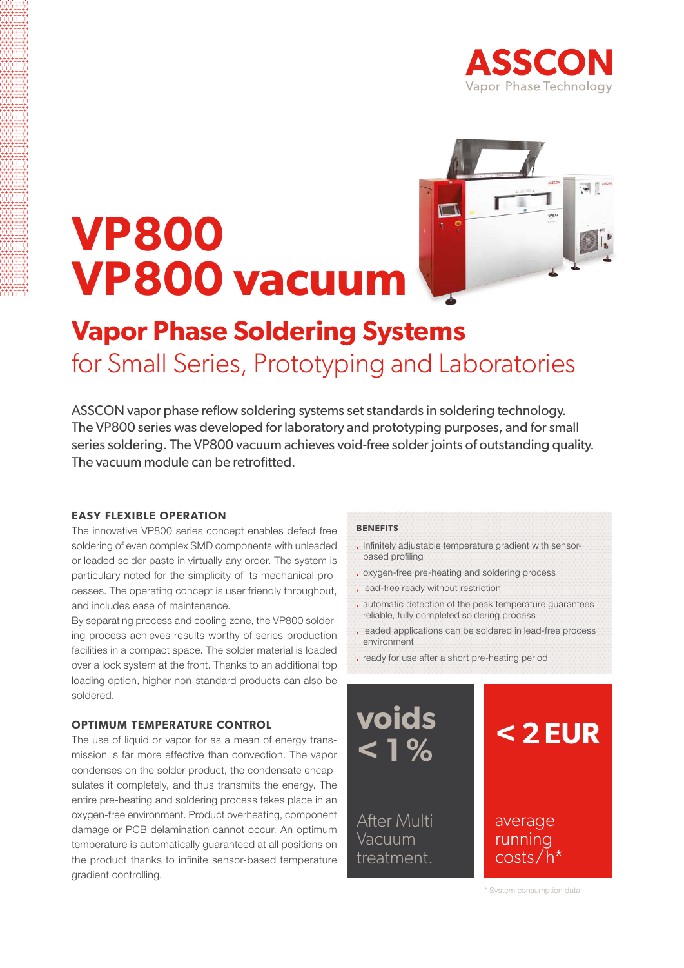

# **VP800 VP800 vacuum**



### **Vapor Phase Soldering Systems** for Small Series, Prototyping and Laboratories

ASSCON vapor phase reflow soldering systems set standards in soldering technology. The VP800 series was developed for laboratory and prototyping purposes, and for small series soldering. The VP800 vacuum achieves void-free solder joints of outstanding quality. The vacuum module can be retrofitted.

#### **easy flexible operation**

The innovative VP800 series concept enables defect free soldering of even complex SMD components with unleaded or leaded solder paste in virtually any order. The system is particulary noted for the simplicity of its mechanical processes. The operating concept is user friendly throughout, and includes ease of maintenance.

By separating process and cooling zone, the VP800 soldering process achieves results worthy of series production facilities in a compact space. The solder material is loaded over a lock system at the front. Thanks to an additional top loading option, higher non-standard products can also be soldered.

#### **optimum temperature control**

The use of liquid or vapor for as a mean of energy transmission is far more effective than convection. The vapor condenses on the solder product, the condensate encapsulates it completely, and thus transmits the energy. The entire pre-heating and soldering process takes place in an oxygen-free environment. Product overheating, component damage or PCB delamination cannot occur. An optimum temperature is automatically guaranteed at all positions on the product thanks to infinite sensor-based temperature gradient controlling.

#### **benefits**

- . Infinitely adjustable temperature gradient with sensorbased profiling
- oxygen-free pre-heating and soldering process
- . lead-free ready without restriction
- automatic detection of the peak temperature guarantees reliable, fully completed soldering process
- leaded applications can be soldered in lead-free process environment
- ready for use after a short pre-heating period



\* System consumption data